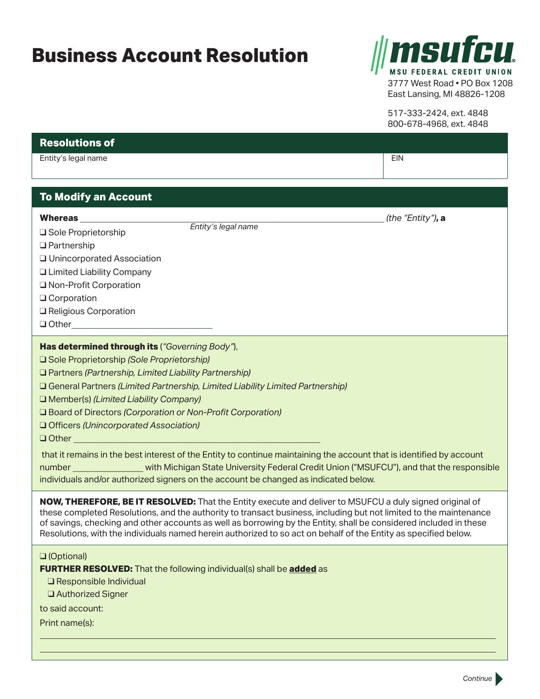## **Business Account Resolution**



East Lansing, MI 48826-1208

517-333-2424, ext. 4848 800-678-4968, ext. 4848

## **Resolutions of** Entity's legal name EIN and the EIN and the EIN and the EIN and the EIN and the EIN and the EIN and the EIN and the EIN **To Modify an Account Whereas \_\_\_\_\_\_\_\_\_\_\_\_\_\_\_\_\_\_\_\_\_\_\_\_\_\_\_\_\_\_\_\_\_\_\_\_\_\_\_\_\_\_\_\_\_\_\_\_\_\_\_\_\_\_\_\_\_\_\_\_\_\_\_\_\_\_\_\_\_** *(the "Entity")***, a □ Sole Proprietorship** □ Partnership □ Unincorporated Association □ Limited Liability Company O Non-Profit Corporation **Q** Corporation Q Religious Corporation **Q** Other **Has determined through its** (*"Governing Body"*), q Sole Proprietorship *(Sole Proprietorship)* q Partners *(Partnership, Limited Liability Partnership)* q General Partners *(Limited Partnership, Limited Liability Limited Partnership)* □ Member(s) *(Limited Liability Company)* q Board of Directors *(Corporation or Non-Profit Corporation)* q Officers *(Unincorporated Association)* q Other \_\_\_\_\_\_\_\_\_\_\_\_\_\_\_\_\_\_\_\_\_\_\_\_\_\_\_\_\_\_\_\_\_\_\_\_\_\_\_\_\_\_\_\_\_\_\_\_\_\_\_\_\_\_\_\_ that it remains in the best interest of the Entity to continue maintaining the account that is identified by account number **Example 20** with Michigan State University Federal Credit Union ("MSUFCU"), and that the responsible individuals and/or authorized signers on the account be changed as indicated below. **NOW, THEREFORE, BE IT RESOLVED:** That the Entity execute and deliver to MSUFCU a duly signed original of these completed Resolutions, and the authority to transact business, including but not limited to the maintenance of savings, checking and other accounts as well as borrowing by the Entity, shall be considered included in these Resolutions, with the individuals named herein authorized to so act on behalf of the Entity as specified below. **Q** (Optional) **FURTHER RESOLVED:** That the following individual(s) shall be **added** as  $\Box$  Responsible Individual q Authorized Signer to said account: Print name(s): *Entity's legal name*